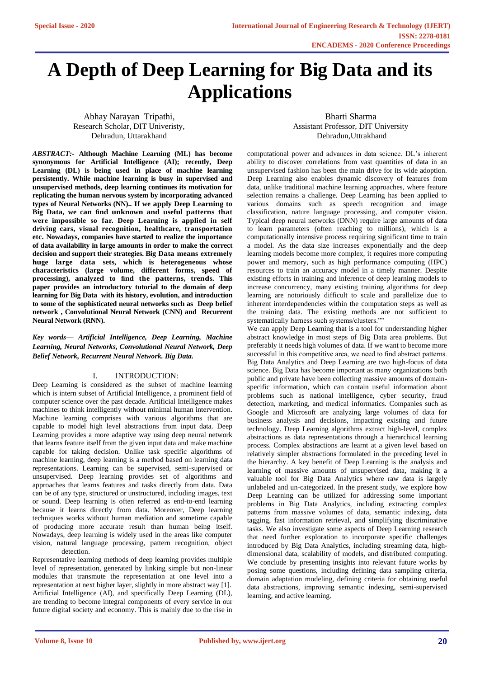# **A Depth of Deep Learning for Big Data and its Applications**

Abhay Narayan Tripathi, Research Scholar, DIT Univeristy, Dehradun, Uttarakhand

Bharti Sharma Assistant Professor, DIT University Dehradun,Uttrakhand

*ABSTRACT:-* **Although Machine Learning (ML) has become synonymous for Artificial Intelligence (AI); recently, Deep Learning (DL) is being used in place of machine learning persistently. While machine learning is busy in supervised and unsupervised methods, deep learning continues its motivation for replicating the human nervous system by incorporating advanced types of Neural Networks (NN).. If we apply Deep Learning to Big Data, we can find unknown and useful patterns that were impossible so far. Deep Learning is applied in self driving cars, visual recognition, healthcare, transportation etc. Nowadays, companies have started to realize the importance of data availability in large amounts in order to make the correct decision and support their strategies. Big Data means extremely huge large data sets, which is heterogeneous whose characteristics (large volume, different forms, speed of processing), analyzed to find the patterns, trends. This paper provides an introductory tutorial to the domain of deep learning for Big Data with its history, evolution, and introduction to some of the sophisticated neural networks such as Deep belief network , Convolutional Neural Network (CNN) and Recurrent Neural Network (RNN).**

*Key words— Artificial Intelligence, Deep Learning, Machine Learning, Neural Networks, Convolutional Neural Network, Deep Belief Network, Recurrent Neural Network. Big Data.*

### I. INTRODUCTION:

Deep Learning is considered as the subset of machine learning which is intern subset of Artificial Intelligence, a prominent field of computer science over the past decade. Artificial Intelligence makes machines to think intelligently without minimal human intervention. Machine learning comprises with various algorithms that are capable to model high level abstractions from input data. Deep Learning provides a more adaptive way using deep neural network that learns feature itself from the given input data and make machine capable for taking decision. Unlike task specific algorithms of machine learning, deep learning is a method based on learning data representations. Learning can be supervised, semi-supervised or unsupervised. Deep learning provides set of algorithms and approaches that learns features and tasks directly from data. Data can be of any type, structured or unstructured, including images, text or sound. Deep learning is often referred as end-to-end learning because it learns directly from data. Moreover, Deep learning techniques works without human mediation and sometime capable of producing more accurate result than human being itself. Nowadays, deep learning is widely used in the areas like computer vision, natural language processing, pattern recognition, object detection.

Representative learning methods of deep learning provides multiple level of representation, generated by linking simple but non-linear modules that transmute the representation at one level into a representation at next higher layer, slightly in more abstract way [1]. Artificial Intelligence (AI), and specifically Deep Learning (DL), are trending to become integral components of every service in our future digital society and economy. This is mainly due to the rise in

computational power and advances in data science. DL's inherent ability to discover correlations from vast quantities of data in an unsupervised fashion has been the main drive for its wide adoption. Deep Learning also enables dynamic discovery of features from data, unlike traditional machine learning approaches, where feature selection remains a challenge. Deep Learning has been applied to various domains such as speech recognition and image classification, nature language processing, and computer vision. Typical deep neural networks (DNN) require large amounts of data to learn parameters (often reaching to millions), which is a computationally intensive process requiring significant time to train a model. As the data size increases exponentially and the deep learning models become more complex, it requires more computing power and memory, such as high performance computing (HPC) resources to train an accuracy model in a timely manner. Despite existing efforts in training and inference of deep learning models to increase concurrency, many existing training algorithms for deep learning are notoriously difficult to scale and parallelize due to inherent interdependencies within the computation steps as well as the training data. The existing methods are not sufficient to systematically harness such systems/clusters.""

We can apply Deep Learning that is a tool for understanding higher abstract knowledge in most steps of Big Data area problems. But preferably it needs high volumes of data. If we want to become more successful in this competitive area, we need to find abstract patterns. Big Data Analytics and Deep Learning are two high-focus of data science. Big Data has become important as many organizations both public and private have been collecting massive amounts of domainspecific information, which can contain useful information about problems such as national intelligence, cyber security, fraud detection, marketing, and medical informatics. Companies such as Google and Microsoft are analyzing large volumes of data for business analysis and decisions, impacting existing and future technology. Deep Learning algorithms extract high-level, complex abstractions as data representations through a hierarchical learning process. Complex abstractions are learnt at a given level based on relatively simpler abstractions formulated in the preceding level in the hierarchy. A key benefit of Deep Learning is the analysis and learning of massive amounts of unsupervised data, making it a valuable tool for Big Data Analytics where raw data is largely unlabeled and un-categorized. In the present study, we explore how Deep Learning can be utilized for addressing some important problems in Big Data Analytics, including extracting complex patterns from massive volumes of data, semantic indexing, data tagging, fast information retrieval, and simplifying discriminative tasks. We also investigate some aspects of Deep Learning research that need further exploration to incorporate specific challenges introduced by Big Data Analytics, including streaming data, highdimensional data, scalability of models, and distributed computing. We conclude by presenting insights into relevant future works by posing some questions, including defining data sampling criteria, domain adaptation modeling, defining criteria for obtaining useful data abstractions, improving semantic indexing, semi-supervised learning, and active learning.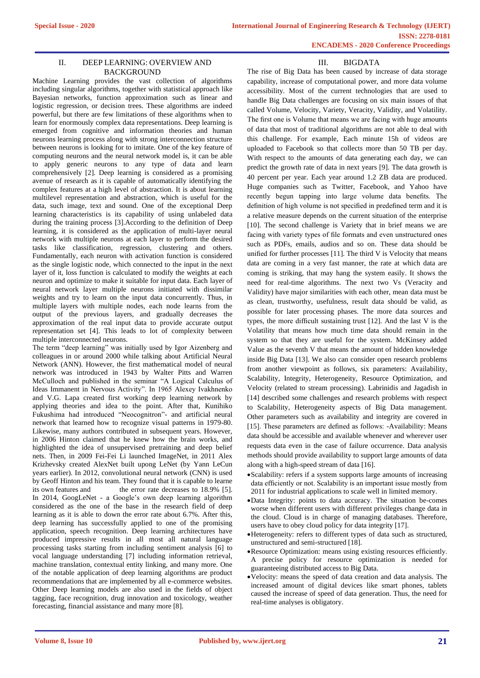## II. DEEP LEARNING: OVERVIEW AND BACKGROUND

Machine Learning provides the vast collection of algorithms including singular algorithms, together with statistical approach like Bayesian networks, function approximation such as linear and logistic regression, or decision trees. These algorithms are indeed powerful, but there are few limitations of these algorithms when to learn for enormously complex data representations. Deep learning is emerged from cognitive and information theories and human neurons learning process along with strong interconnection structure between neurons is looking for to imitate. One of the key feature of computing neurons and the neural network model is, it can be able to apply generic neurons to any type of data and learn comprehensively [2]. Deep learning is considered as a promising avenue of research as it is capable of automatically identifying the complex features at a high level of abstraction. It is about learning multilevel representation and abstraction, which is useful for the data, such image, text and sound. One of the exceptional Deep learning characteristics is its capability of using unlabeled data during the training process [3].According to the definition of Deep learning, it is considered as the application of multi-layer neural network with multiple neurons at each layer to perform the desired tasks like classification, regression, clustering and others. Fundamentally, each neuron with activation function is considered as the single logistic node, which connected to the input in the next layer of it, loss function is calculated to modify the weights at each neuron and optimize to make it suitable for input data. Each layer of neural network layer multiple neurons initiated with dissimilar weights and try to learn on the input data concurrently. Thus, in multiple layers with multiple nodes, each node learns from the output of the previous layers, and gradually decreases the approximation of the real input data to provide accurate output representation set [4]. This leads to lot of complexity between multiple interconnected neurons.

The term "deep learning" was initially used by Igor Aizenberg and colleagues in or around 2000 while talking about Artificial Neural Network (ANN). However, the first mathematical model of neural network was introduced in 1943 by Walter Pitts and Warren McCulloch and published in the seminar "A Logical Calculus of Ideas Immanent in Nervous Activity". In 1965 Alexey Ivakhnenko and V.G. Lapa created first working deep learning network by applying theories and idea to the point. After that, Kunihiko Fukushima had introduced "Neocognitron"- and artificial neural network that learned how to recognize visual patterns in 1979-80. Likewise, many authors contributed in subsequent years. However, in 2006 Hinton claimed that he knew how the brain works, and highlighted the idea of unsupervised pretraining and deep belief nets. Then, in 2009 Fei-Fei Li launched ImageNet, in 2011 Alex Krizhevsky created AlexNet built upong LeNet (by Yann LeCun years earlier). In 2012, convolutional neural network (CNN) is used by Geoff Hinton and his team. They found that it is capable to learne its own features and the error rate decreases to 18.9% [5]. In 2014, GoogLeNet - a Google's own deep learning algorithm considered as the one of the base in the research field of deep learning as it is able to down the error rate about 6.7%. After this, deep learning has successfully applied to one of the promising application, speech recognition. Deep learning architectures have produced impressive results in all most all natural language processing tasks starting from including sentiment analysis [6] to vocal language understanding [7] including information retrieval, machine translation, contextual entity linking, and many more. One of the notable application of deep learning algorithms are product recommendations that are implemented by all e-commerce websites. Other Deep learning models are also used in the fields of object tagging, face recognition, drug innovation and toxicology, weather forecasting, financial assistance and many more [8].

# III. BIGDATA

The rise of Big Data has been caused by increase of data storage capability, increase of computational power, and more data volume accessibility. Most of the current technologies that are used to handle Big Data challenges are focusing on six main issues of that called Volume, Velocity, Variety, Veracity, Validity, and Volatility. The first one is Volume that means we are facing with huge amounts of data that most of traditional algorithms are not able to deal with this challenge. For example, Each minute 15h of videos are uploaded to Facebook so that collects more than 50 TB per day. With respect to the amounts of data generating each day, we can predict the growth rate of data in next years [9]. The data growth is 40 percent per year. Each year around 1.2 ZB data are produced. Huge companies such as Twitter, Facebook, and Yahoo have recently begun tapping into large volume data benefits. The definition of high volume is not specified in predefined term and it is a relative measure depends on the current situation of the enterprise [10]. The second challenge is Variety that in brief means we are facing with variety types of file formats and even unstructured ones such as PDFs, emails, audios and so on. These data should be unified for further processes [11]. The third V is Velocity that means data are coming in a very fast manner, the rate at which data are coming is striking, that may hang the system easily. It shows the need for real-time algorithms. The next two Vs (Veracity and Validity) have major similarities with each other, mean data must be as clean, trustworthy, usefulness, result data should be valid, as possible for later processing phases. The more data sources and types, the more difficult sustaining trust [12]. And the last V is the Volatility that means how much time data should remain in the system so that they are useful for the system. McKinsey added Value as the seventh V that means the amount of hidden knowledge inside Big Data [13]. We also can consider open research problems from another viewpoint as follows, six parameters: Availability, Scalability, Integrity, Heterogeneity, Resource Optimization, and Velocity (related to stream processing). Labrinidis and Jagadish in [14] described some challenges and research problems with respect to Scalability, Heterogeneity aspects of Big Data management. Other parameters such as availability and integrity are covered in [15]. These parameters are defined as follows: -Availability: Means data should be accessible and available whenever and wherever user requests data even in the case of failure occurrence. Data analysis methods should provide availability to support large amounts of data along with a high-speed stream of data [16].

- •Scalability: refers if a system supports large amounts of increasing data efficiently or not. Scalability is an important issue mostly from 2011 for industrial applications to scale well in limited memory.
- •Data Integrity: points to data accuracy. The situation be-comes worse when different users with different privileges change data in the cloud. Cloud is in charge of managing databases. Therefore, users have to obey cloud policy for data integrity [17].
- •Heterogeneity: refers to different types of data such as structured, unstructured and semi-structured [18].
- •Resource Optimization: means using existing resources efficiently. A precise policy for resource optimization is needed for guaranteeing distributed access to Big Data.
- •Velocity: means the speed of data creation and data analysis. The increased amount of digital devices like smart phones, tablets caused the increase of speed of data generation. Thus, the need for real-time analyses is obligatory.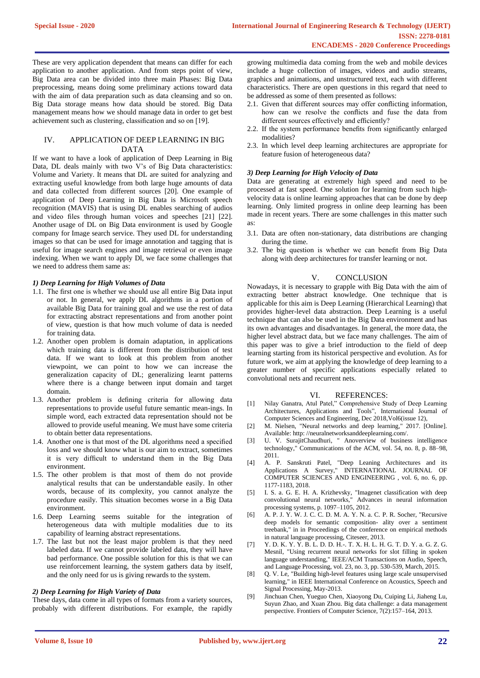These are very application dependent that means can differ for each application to another application. And from steps point of view, Big Data area can be divided into three main Phases: Big Data preprocessing, means doing some preliminary actions toward data with the aim of data preparation such as data cleansing and so on. Big Data storage means how data should be stored. Big Data management means how we should manage data in order to get best achievement such as clustering, classification and so on [19].

## IV. APPLICATION OF DEEP LEARNING IN BIG DATA

If we want to have a look of application of Deep Learning in Big Data, DL deals mainly with two V's of Big Data characteristics: Volume and Variety. It means that DL are suited for analyzing and extracting useful knowledge from both large huge amounts of data and data collected from different sources [20]. One example of application of Deep Learning in Big Data is Microsoft speech recognition (MAVIS) that is using DL enables searching of audios and video files through human voices and speeches [21] [22]. Another usage of DL on Big Data environment is used by Google company for Image search service. They used DL for understanding images so that can be used for image annotation and tagging that is useful for image search engines and image retrieval or even image indexing. When we want to apply Dl, we face some challenges that we need to address them same as:

#### *1) Deep Learning for High Volumes of Data*

- 1.1. The first one is whether we should use all entire Big Data input or not. In general, we apply DL algorithms in a portion of available Big Data for training goal and we use the rest of data for extracting abstract representations and from another point of view, question is that how much volume of data is needed for training data.
- 1.2. Another open problem is domain adaptation, in applications which training data is different from the distribution of test data. If we want to look at this problem from another viewpoint, we can point to how we can increase the generalization capacity of DL; generalizing learnt patterns where there is a change between input domain and target domain.
- 1.3. Another problem is defining criteria for allowing data representations to provide useful future semantic mean-ings. In simple word, each extracted data representation should not be allowed to provide useful meaning. We must have some criteria to obtain better data representations.
- 1.4. Another one is that most of the DL algorithms need a specified loss and we should know what is our aim to extract, sometimes it is very difficult to understand them in the Big Data environment.
- 1.5. The other problem is that most of them do not provide analytical results that can be understandable easily. In other words, because of its complexity, you cannot analyze the procedure easily. This situation becomes worse in a Big Data environment.
- 1.6. Deep Learning seems suitable for the integration of heterogeneous data with multiple modalities due to its capability of learning abstract representations.
- 1.7. The last but not the least major problem is that they need labeled data. If we cannot provide labeled data, they will have bad performance. One possible solution for this is that we can use reinforcement learning, the system gathers data by itself, and the only need for us is giving rewards to the system.

#### *2) Deep Learning for High Variety of Data*

These days, data come in all types of formats from a variety sources, probably with different distributions. For example, the rapidly

growing multimedia data coming from the web and mobile devices include a huge collection of images, videos and audio streams, graphics and animations, and unstructured text, each with different characteristics. There are open questions in this regard that need to be addressed as some of them presented as follows:

- 2.1. Given that different sources may offer conflicting information, how can we resolve the conflicts and fuse the data from different sources effectively and efficiently?
- 2.2. If the system performance benefits from significantly enlarged modalities?
- 2.3. In which level deep learning architectures are appropriate for feature fusion of heterogeneous data?

#### *3) Deep Learning for High Velocity of Data*

Data are generating at extremely high speed and need to be processed at fast speed. One solution for learning from such highvelocity data is online learning approaches that can be done by deep learning. Only limited progress in online deep learning has been made in recent years. There are some challenges in this matter such as:

- 3.1. Data are often non-stationary, data distributions are changing during the time.
- 3.2. The big question is whether we can benefit from Big Data along with deep architectures for transfer learning or not.

#### V. CONCLUSION

Nowadays, it is necessary to grapple with Big Data with the aim of extracting better abstract knowledge. One technique that is applicable for this aim is Deep Learning (Hierarchical Learning) that provides higher-level data abstraction. Deep Learning is a useful technique that can also be used in the Big Data environment and has its own advantages and disadvantages. In general, the more data, the higher level abstract data, but we face many challenges. The aim of this paper was to give a brief introduction to the field of deep learning starting from its historical perspective and evolution. As for future work, we aim at applying the knowledge of deep learning to a greater number of specific applications especially related to convolutional nets and recurrent nets.

#### VI. REFERENCES:

- [1] Nilay Ganatra, Atul Patel," Comprehensive Study of Deep Learning Architectures, Applications and Tools", International Journal of Computer Sciences and Engineering, Dec 2018,Vol6(issue 12),
- [2] M. Nielsen, "Neural networks and deep learning," 2017. [Online]. Available: http: //neuralnetworksanddeeplearning.com/.
- [3] U. V. SurajitChaudhuri, " Anoverview of business intelligence technology," Communications of the ACM, vol. 54, no. 8, p. 88–98, 2011.
- [4] A. P. Sanskruti Patel, "Deep Leaning Architectures and its Applications A Survey," INTERNATIONAL JOURNAL OF COMPUTER SCIENCES AND ENGINEERING , vol. 6, no. 6, pp. 1177-1183, 2018.
- [5] I. S. a. G. E. H. A. Krizhevsky, "Imagenet classification with deep convolutional neural networks," Advances in neural information processing systems, p. 1097–1105, 2012.
- [6] A. P. J. Y. W. J. C. C. D. M. A. Y. N. a. C. P. R. Socher, "Recursive deep models for semantic composition- ality over a sentiment treebank," in in Proceedings of the conference on empirical methods in natural language processing, Citeseer, 2013.
- [7] Y. D. K. Y. Y. B. L. D. D. H.-. T. X. H. L. H. G. T. D. Y. a. G. Z. G. Mesnil, "Using recurrent neural networks for slot filling in spoken language understanding," IEEE/ACM Transactions on Audio, Speech, and Language Processing, vol. 23, no. 3, pp. 530-539, March, 2015.
- [8] Q. V. Le, "Building high-level features using large scale unsupervised learning," in IEEE International Conference on Acoustics, Speech and Signal Processing, May-2013.
- [9] Jinchuan Chen, Yueguo Chen, Xiaoyong Du, Cuiping Li, Jiaheng Lu, Suyun Zhao, and Xuan Zhou. Big data challenge: a data management perspective. Frontiers of Computer Science, 7(2):157–164, 2013.